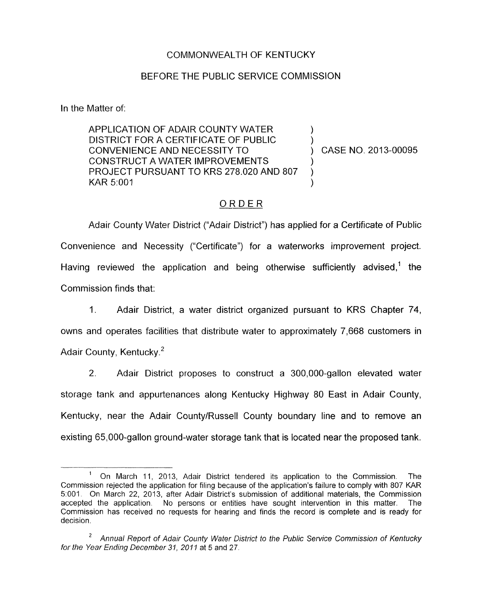## COMMONWEALTH OF KENTUCKY

## BEFORE THE PUBLIC SERVICE COMMISSION

In the Matter of:

APPLICATION OF ADAIR COUNTY WATER DISTRICT FOR A CERTIFICATE OF PUBLIC CONVENIENCE AND NECESSITY TO ) CASE NO. 2013-00095 CONSTRUCT A WATER IMPROVEMENTS KAR 5:OOl ) PROJECT PURSUANT TO KRS 278.020 AND 807

## ORDER

Adair County Water District ("Adair District") has applied for a Certificate of Public Convenience and Necessity ("Certificate") for a waterworks improvement project. Having reviewed the application and being otherwise sufficiently advised,' the Commission finds that:

1. Adair District, a water district organized pursuant to KRS Chapter 74, owns and operates facilities that distribute water to approximately 7,668 customers in Adair County, Kentucky.<sup>2</sup>

2. Adair District proposes to construct a 300,000-gallon elevated water storage tank and appurtenances along Kentucky Highway 80 East in Adair County, Kentucky, near the Adair CountylRussell County boundary line and to remove an existing 65,000-gallon ground-water storage tank that is located near the proposed tank.

On March 11, 2013, Adair District tendered its application to the Commission. The Commission rejected the application for filing because of the application's failure to comply with 807 KAR 5:OOl On March 22, 2013, after Adair District's submission of additional materials, the Commission accepted the application. No persons or entities have sought intervention in this matter. The Commission has received no requests for hearing and finds the record is complete and is ready for decision. **1** 

*Annual Report of Adair County Water District to the Public Service Commission of Kentucky* **<sup>2</sup>** for the Year Ending December 31, 2011 at 5 and 27.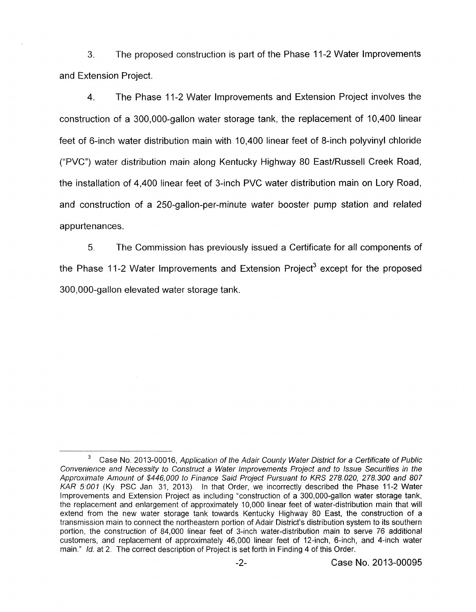3. The proposed construction is part of the Phase 11-2 Water Improvements and Extension Project.

4. The Phase 11-2 Water Improvements and Extension Project involves the construction of a 300,000-gallon water storage tank, the replacement of 10,400 linear feet of 6-inch water distribution main with 10,400 linear feet of 8-inch polyvinyl chloride ("PVC") water distribution main along Kentucky Highway 80 East/Russell Creek Road, the installation of 4,400 linear feet of 3-inch PVC water distribution main on Lory Road, and construction of a 250-gallon-per-minute water booster pump station and related appurtenances.

*5.* The Commission has previously issued a Certificate for all components of the Phase 11-2 Water Improvements and Extension Project<sup>3</sup> except for the proposed 300,000-gallon elevated water storage tank.

Case No 2013-00016, *Application of the Adair County Wafer District for a Certificate of Public Convenience and Necessity to Construct a Wafer Improvements Project and to Issue Securities in the Approximate Amount of \$446,000 to Finance Said Project Pursuant to KRS 278.020, 278.300 and 807*  KAR 5:001 (Ky. PSC Jan. 31, 2013). In that Order, we incorrectly described the Phase 11-2 Water Improvements and Extension Project as including "construction of a 300,000-gallon water storage tank, the replacement and enlargement of approximately 10,000 linear feet of water-distribution main that will extend from the new water storage tank towards Kentucky Highway 80 East, the construction of a transmission main to connect the northeastern portion of Adair District's distribution system to its southern portion, the construction of 84,000 linear feet of 3-inch water-distribution main to serve 76 additional customers, and replacement of approximately 46,000 linear feet of 12-inch, 6-inch, and 4-inch water main." *Id.* at 2. The correct description of Project is set forth in Finding 4 of this Order. **3**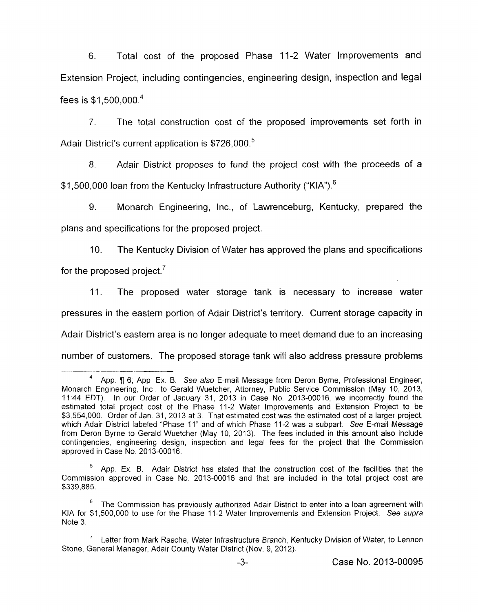6. Total cast of the proposed Phase 11-2 Water Improvements and Extension Project, including contingencies, engineering design, inspection and legal fees is  $$1,500,000.<sup>4</sup>$ 

7. The total construction cost of the proposed improvements set forth in Adair District's current application is \$726,000.<sup>5</sup>

*8.* Adair District proposes to fund the project cost with the proceeds of a \$1,500,000 loan from the Kentucky Infrastructure Authority ("KIA").<sup>6</sup>

9. Monarch Engineering, Inc., of Lawrenceburg, Kentucky, prepared the plans and specifications for the proposed project.

IO. The Kentucky Division of Water has approved the plans and specifications for the proposed project. $^7$ 

11. The proposed water storage tank is necessary to increase water pressures in the eastern portion of Adair District's territory. Current storage capacity in Adair District's eastern area is no longer adequate to meet demand due to an increasing number of customers. The proposed storage tank will also address pressure problems

App. **7** 6; App. Ex. B. See *also* E-mail Message from Deron Byrne, Professional Engineer, Monarch Engineering, Inc., to Gerald Wuetcher, Attorney, Public Service Commission (May 10, 2013, 11.44 EDT). In our Order of January 31, 2013 in Case No. 2013-00016, we incorrectly found the estimated total project cost of the Phase 11-2 Water Improvements and Extension Project to be \$3,554,000. Order of Jan. 31, 2013 at 3. That estimated cost was the estimated cost of a larger project, which Adair District labeled "Phase 11" and of which Phase 11-2 was a subpart. See E-mail Message from Deron Byrne to Gerald Wuetcher (May 10, 2013). The fees included in this amount also include contingencies, engineering design, inspection and legal fees for the project that the Commission approved in Case No. 2013-00016. **4** 

App. Ex. B. Adair District has stated that the construction cost of the facilities that the *5*  Commission approved in Case No. 2013-00016 and that are included in the total project cost are \$339,885.

The Commission has previously authorized Adair District to enter into a loan agreement with KIA for \$1,500,000 to use for the Phase 11-2 Water Improvements and Extension Project. See supra Note 3. 6

Letter from Mark Rasche, Water Infrastructure Branch, Kentucky Division of Water, to Lennon **7**  Stone, General Manager, Adair County Water District (Nov. 9, 2012).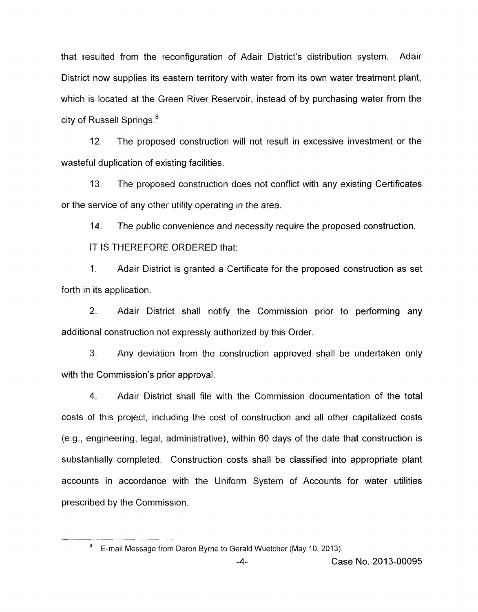that resulted from the reconfiguration of Adair District's distribution system. Adair District now supplies its eastern territory with water from its own water treatment plant, which is located at the Green River Reservoir, instead of by purchasing water from the city of Russell Springs.<sup>8</sup>

12. The proposed construction will not result in excessive investment or the wasteful duplication of existing facilities.

13. The proposed construction does not conflict with any existing Certificates or the service of any other utility operating in the area.

14. The public convenience and necessity require the proposed construction.

IT IS THEREFORE ORDERED that:

1. Adair District is granted a Certificate for the proposed construction as set forth in its application.

2. Adair District shall notify the Commission prior to performing any additional construction not expressly authorized by this Order.

3. Any deviation from the construction approved shall be undertaken only with the Commission's prior approval.

**4.** Adair District shall file with the Commission documentation of the total costs of this project, including the cost of construction and all other capitalized costs (e.g., engineering, legal, administrative), within 60 days of the date that construction is substantially completed. Construction costs shall be classified into appropriate plant accounts in accordance with the Uniform System of Accounts for water utilities prescribed by the Commission.

<sup>8</sup> E-mail Message from Deron Byrne *to* Gerald Wuetcher (May IO, 2013)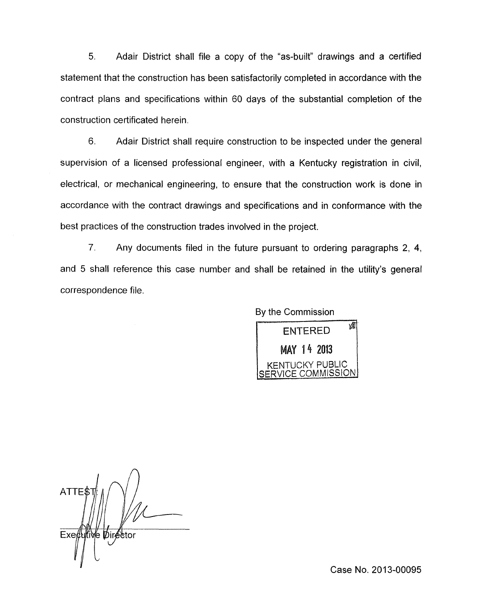5. Adair District shall file a copy of the "as-built" drawings and a certified statement that the construction has been satisfactorily completed in accordance with the contract plans and specifications within 60 days of the substantial completion of the construction certificated herein.

6. Adair District shall require construction to be inspected under the general supervision of a licensed professional engineer, with a Kentucky registration in civil, electrical, or mechanical engineering, to ensure that the construction work is done in accordance with the contract drawings and specifications and in conformance with the best practices of the construction trades involved in the project.

*7.* Any documents filed in the future pursuant to ordering paragraphs 2, **4,**  and 5 shall reference this case number and shall be retained in the utility's general correspondence file.

By the Commission



**ATTES**  $Exeff$ lfive  $\psi$ irector

Case No. 2013-00095